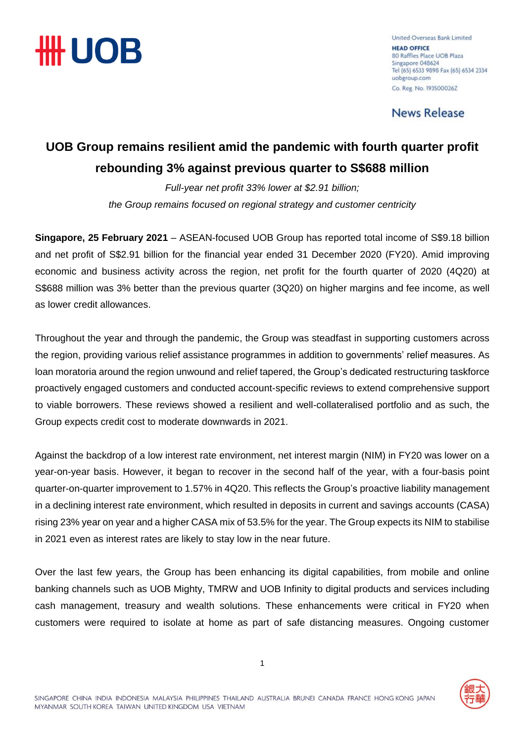

United Overseas Bank Limited **HEAD OFFICE** 80 Raffles Place UOB Plaza Singapore 048624 Tel (65) 6533 9898 Fax (65) 6534 2334 uobgroup.com Co. Reg. No. 1935000262

**News Release** 

### **UOB Group remains resilient amid the pandemic with fourth quarter profit rebounding 3% against previous quarter to S\$688 million**

*Full-year net profit 33% lower at \$2.91 billion; the Group remains focused on regional strategy and customer centricity*

**Singapore, 25 February 2021** – ASEAN-focused UOB Group has reported total income of S\$9.18 billion and net profit of S\$2.91 billion for the financial year ended 31 December 2020 (FY20). Amid improving economic and business activity across the region, net profit for the fourth quarter of 2020 (4Q20) at S\$688 million was 3% better than the previous quarter (3Q20) on higher margins and fee income, as well as lower credit allowances.

Throughout the year and through the pandemic, the Group was steadfast in supporting customers across the region, providing various relief assistance programmes in addition to governments' relief measures. As loan moratoria around the region unwound and relief tapered, the Group's dedicated restructuring taskforce proactively engaged customers and conducted account-specific reviews to extend comprehensive support to viable borrowers. These reviews showed a resilient and well-collateralised portfolio and as such, the Group expects credit cost to moderate downwards in 2021.

Against the backdrop of a low interest rate environment, net interest margin (NIM) in FY20 was lower on a year-on-year basis. However, it began to recover in the second half of the year, with a four-basis point quarter-on-quarter improvement to 1.57% in 4Q20. This reflects the Group's proactive liability management in a declining interest rate environment, which resulted in deposits in current and savings accounts (CASA) rising 23% year on year and a higher CASA mix of 53.5% for the year. The Group expects its NIM to stabilise in 2021 even as interest rates are likely to stay low in the near future.

Over the last few years, the Group has been enhancing its digital capabilities, from mobile and online banking channels such as UOB Mighty, TMRW and UOB Infinity to digital products and services including cash management, treasury and wealth solutions. These enhancements were critical in FY20 when customers were required to isolate at home as part of safe distancing measures. Ongoing customer

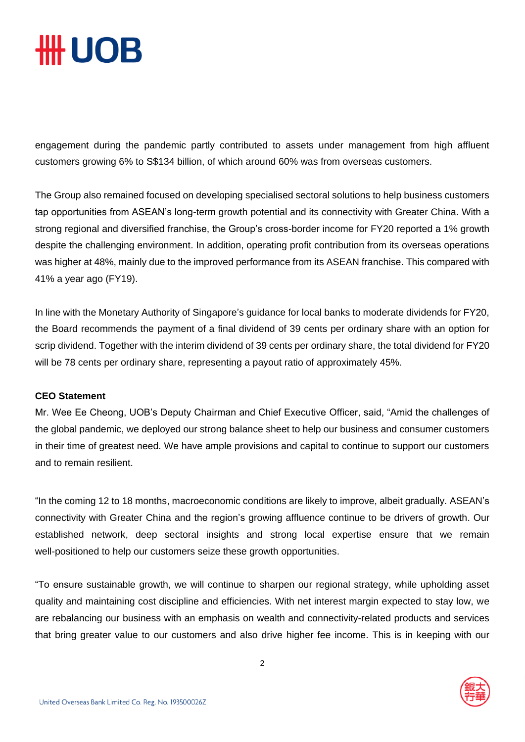## **HH UOB**

engagement during the pandemic partly contributed to assets under management from high affluent customers growing 6% to S\$134 billion, of which around 60% was from overseas customers.

The Group also remained focused on developing specialised sectoral solutions to help business customers tap opportunities from ASEAN's long-term growth potential and its connectivity with Greater China. With a strong regional and diversified franchise, the Group's cross-border income for FY20 reported a 1% growth despite the challenging environment. In addition, operating profit contribution from its overseas operations was higher at 48%, mainly due to the improved performance from its ASEAN franchise. This compared with 41% a year ago (FY19).

In line with the Monetary Authority of Singapore's guidance for local banks to moderate dividends for FY20, the Board recommends the payment of a final dividend of 39 cents per ordinary share with an option for scrip dividend. Together with the interim dividend of 39 cents per ordinary share, the total dividend for FY20 will be 78 cents per ordinary share, representing a payout ratio of approximately 45%.

#### **CEO Statement**

Mr. Wee Ee Cheong, UOB's Deputy Chairman and Chief Executive Officer, said, "Amid the challenges of the global pandemic, we deployed our strong balance sheet to help our business and consumer customers in their time of greatest need. We have ample provisions and capital to continue to support our customers and to remain resilient.

"In the coming 12 to 18 months, macroeconomic conditions are likely to improve, albeit gradually. ASEAN's connectivity with Greater China and the region's growing affluence continue to be drivers of growth. Our established network, deep sectoral insights and strong local expertise ensure that we remain well-positioned to help our customers seize these growth opportunities.

"To ensure sustainable growth, we will continue to sharpen our regional strategy, while upholding asset quality and maintaining cost discipline and efficiencies. With net interest margin expected to stay low, we are rebalancing our business with an emphasis on wealth and connectivity-related products and services that bring greater value to our customers and also drive higher fee income. This is in keeping with our

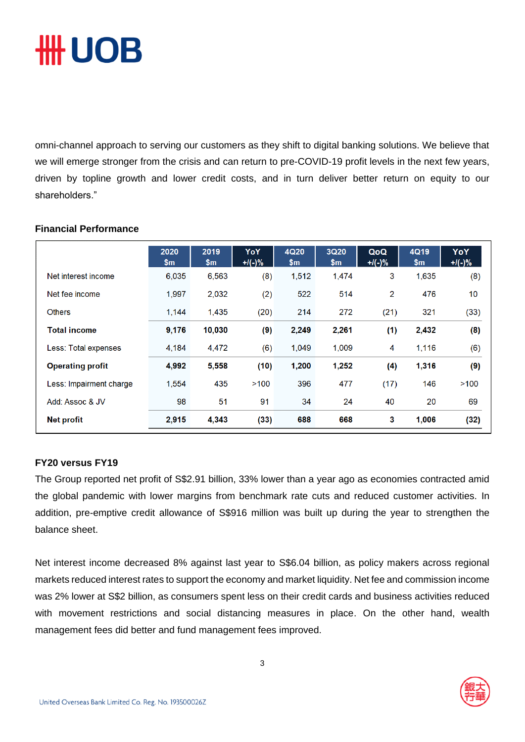# ₩ UOB

omni-channel approach to serving our customers as they shift to digital banking solutions. We believe that we will emerge stronger from the crisis and can return to pre-COVID-19 profit levels in the next few years, driven by topline growth and lower credit costs, and in turn deliver better return on equity to our shareholders."

|                         | 2020<br>\$m | 2019<br>$\mathsf{Sm}$ | YoY<br>$+$ /(-)% | 4Q20<br>$\mathsf{Sm}$ | 3Q20<br>$\mathsf{Sm}$ | QoQ<br>$+1(-)%$ | 4Q19<br>\$m | YoY<br>$+$ /(-)% |
|-------------------------|-------------|-----------------------|------------------|-----------------------|-----------------------|-----------------|-------------|------------------|
| Net interest income     | 6,035       | 6,563                 | (8)              | 1,512                 | 1,474                 | 3               | 1,635       | (8)              |
| Net fee income          | 1,997       | 2,032                 | (2)              | 522                   | 514                   | $\overline{2}$  | 476         | 10               |
| <b>Others</b>           | 1,144       | 1,435                 | (20)             | 214                   | 272                   | (21)            | 321         | (33)             |
| <b>Total income</b>     | 9,176       | 10,030                | (9)              | 2,249                 | 2,261                 | (1)             | 2,432       | (8)              |
| Less: Total expenses    | 4.184       | 4.472                 | (6)              | 1,049                 | 1.009                 | 4               | 1,116       | (6)              |
| <b>Operating profit</b> | 4,992       | 5,558                 | (10)             | 1,200                 | 1,252                 | (4)             | 1,316       | (9)              |
| Less: Impairment charge | 1,554       | 435                   | >100             | 396                   | 477                   | (17)            | 146         | >100             |
| Add: Assoc & JV         | 98          | 51                    | 91               | 34                    | 24                    | 40              | 20          | 69               |
| <b>Net profit</b>       | 2.915       | 4.343                 | (33)             | 688                   | 668                   | 3               | 1,006       | (32)             |

### **Financial Performance**

### **FY20 versus FY19**

The Group reported net profit of S\$2.91 billion, 33% lower than a year ago as economies contracted amid the global pandemic with lower margins from benchmark rate cuts and reduced customer activities. In addition, pre-emptive credit allowance of S\$916 million was built up during the year to strengthen the balance sheet.

Net interest income decreased 8% against last year to S\$6.04 billion, as policy makers across regional markets reduced interest rates to support the economy and market liquidity. Net fee and commission income was 2% lower at S\$2 billion, as consumers spent less on their credit cards and business activities reduced with movement restrictions and social distancing measures in place. On the other hand, wealth management fees did better and fund management fees improved.

3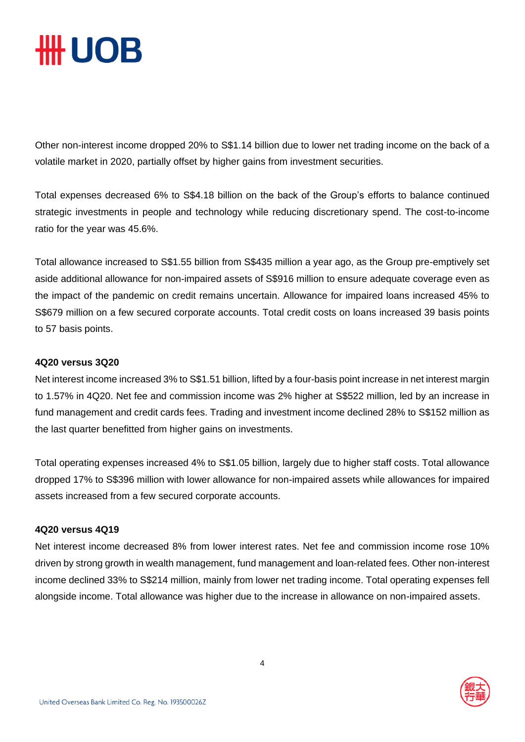## **HH UOB**

Other non-interest income dropped 20% to S\$1.14 billion due to lower net trading income on the back of a volatile market in 2020, partially offset by higher gains from investment securities.

Total expenses decreased 6% to S\$4.18 billion on the back of the Group's efforts to balance continued strategic investments in people and technology while reducing discretionary spend. The cost-to-income ratio for the year was 45.6%.

Total allowance increased to S\$1.55 billion from S\$435 million a year ago, as the Group pre-emptively set aside additional allowance for non-impaired assets of S\$916 million to ensure adequate coverage even as the impact of the pandemic on credit remains uncertain. Allowance for impaired loans increased 45% to S\$679 million on a few secured corporate accounts. Total credit costs on loans increased 39 basis points to 57 basis points.

#### **4Q20 versus 3Q20**

Net interest income increased 3% to S\$1.51 billion, lifted by a four-basis point increase in net interest margin to 1.57% in 4Q20. Net fee and commission income was 2% higher at S\$522 million, led by an increase in fund management and credit cards fees. Trading and investment income declined 28% to S\$152 million as the last quarter benefitted from higher gains on investments.

Total operating expenses increased 4% to S\$1.05 billion, largely due to higher staff costs. Total allowance dropped 17% to S\$396 million with lower allowance for non-impaired assets while allowances for impaired assets increased from a few secured corporate accounts.

### **4Q20 versus 4Q19**

Net interest income decreased 8% from lower interest rates. Net fee and commission income rose 10% driven by strong growth in wealth management, fund management and loan-related fees. Other non-interest income declined 33% to S\$214 million, mainly from lower net trading income. Total operating expenses fell alongside income. Total allowance was higher due to the increase in allowance on non-impaired assets.